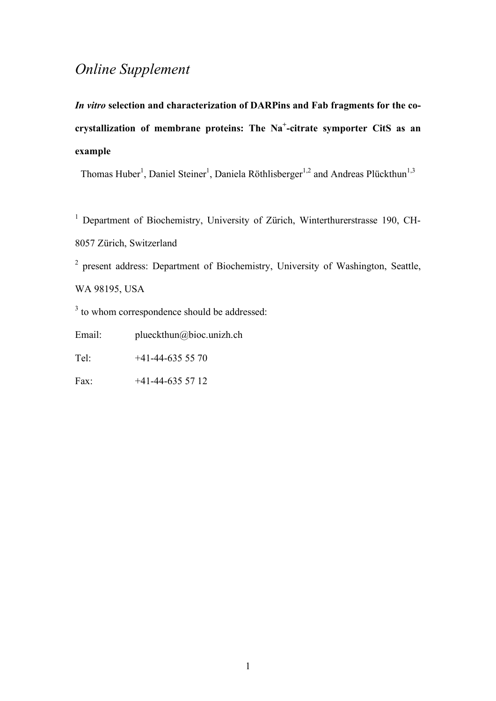## *Online Supplement*

*In vitro* **selection and characterization of DARPins and Fab fragments for the cocrystallization of membrane proteins: The Na+ -citrate symporter CitS as an example**

Thomas Huber<sup>1</sup>, Daniel Steiner<sup>1</sup>, Daniela Röthlisberger<sup>1,2</sup> and Andreas Plückthun<sup>1,3</sup>

<sup>1</sup> Department of Biochemistry, University of Zürich, Winterthurerstrasse 190, CH-8057 Zürich, Switzerland

<sup>2</sup> present address: Department of Biochemistry, University of Washington, Seattle, WA 98195, USA

<sup>3</sup> to whom correspondence should be addressed:

Email: plueckthun@bioc.unizh.ch

Tel:  $+41-44-6355570$ 

Fax: +41-44-635 57 12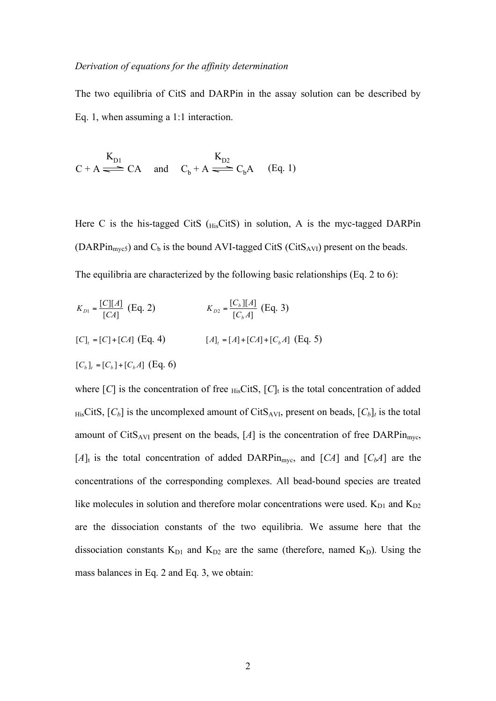## *Derivation of equations for the affinity determination*

The two equilibria of CitS and DARPin in the assay solution can be described by Eq. 1, when assuming a 1:1 interaction.

$$
C + A \xrightarrow{K_{D1}} CA \quad \text{and} \quad C_b + A \xrightarrow{K_{D2}} C_b A \quad (Eq. 1)
$$

Here C is the his-tagged CitS  $(H_{\text{lis}}\text{CitS})$  in solution, A is the myc-tagged DARPin (DARPin<sub>myc5</sub>) and  $C_b$  is the bound AVI-tagged CitS (CitS<sub>AVI</sub>) present on the beads. The equilibria are characterized by the following basic relationships (Eq. 2 to 6):

$$
K_{D1} = \frac{[C][A]}{[CA]} \text{ (Eq. 2)}
$$
\n
$$
K_{D2} = \frac{[C_b][A]}{[C_b A]} \text{ (Eq. 3)}
$$
\n
$$
[C]_t = [C] + [CA] \text{ (Eq. 4)}
$$
\n
$$
[A]_t = [A] + [CA] + [C_b A] \text{ (Eq. 5)}
$$
\n
$$
[C_b]_t = [C_b] + [C_b A] \text{ (Eq. 6)}
$$

where  $[C]$  is the concentration of free  $_{\text{His}}\text{CitS}, [C]_t$  is the total concentration of added  $HisC$ **its**,  $[C_b]$  is the uncomplexed amount of CitS<sub>AVI</sub>, present on beads,  $[C_b]_t$  is the total amount of CitS<sub>AVI</sub> present on the beads,  $[A]$  is the concentration of free DARPin<sub>myc</sub>,  $[A]_t$  is the total concentration of added DARPin<sub>myc</sub>, and  $[CA]$  and  $[C<sub>b</sub>A]$  are the concentrations of the corresponding complexes. All bead-bound species are treated like molecules in solution and therefore molar concentrations were used.  $K_{D1}$  and  $K_{D2}$ are the dissociation constants of the two equilibria. We assume here that the dissociation constants  $K_{D1}$  and  $K_{D2}$  are the same (therefore, named  $K_D$ ). Using the C + A  $\iff$  CA and  $C_b + A \iff C_bA$ <br>
Here C is the his-tagged CitS ( $_{\text{His}}$ CitS) in<br>
(DARPin<sub>myes</sub>) and C<sub>b</sub> is the bound AVI-tagg<br>
The equilibria are characterized by the follow<br>  $K_{\text{D1}} = \frac{[C][A]}{[CA]}$  (Eq. 2)  $K_{\text{D2}} = \frac{$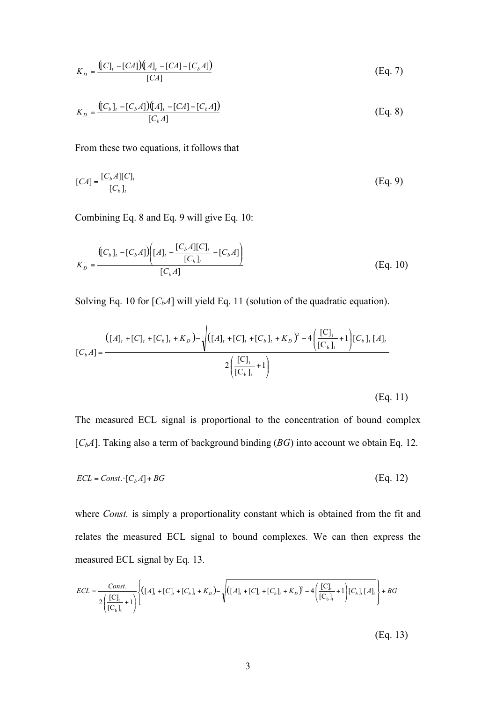$$
K_D = \frac{([C]_t - [CA])([A]_t - [CA] - [C_b A])}{[CA]}
$$
 (Eq. 7)

$$
K_{D} = \frac{([C_{b}]_{t} - [C_{b}A])([A]_{t} - [CA] - [C_{b}A])}{[C_{b}A]}
$$
(Eq. 8)

From these two equations, it follows that

$$
[CA] = \frac{[C_b A][C]_t}{[C_b]_t} \tag{Eq. 9}
$$

Combining Eq. 8 and Eq. 9 will give Eq. 10:

$$
K_{D} = \frac{\left( [C_{b}]_{t} - [C_{b}A] \right) \left( [A]_{t} - \frac{[C_{b}A][C]_{t}}{[C_{b}]_{t}} - [C_{b}A] \right)}{[C_{b}A]}
$$
\n(Eq. 10)

Solving Eq. 10 for  $[C_bA]$  will yield Eq. 11 (solution of the quadratic equation).

$$
[C_b A] = \frac{([A]_t + [C]_t + [C_b]_t + K_D) - \sqrt{([A]_t + [C]_t + [C_b]_t + K_D)^2 - 4\left(\frac{[C]_t}{[C_b]_t} + 1\right)[C_b]_t [A]_t}}{2\left(\frac{[C]_t}{[C_b]_t} + 1\right)}
$$

(Eq. 11)

The measured ECL signal is proportional to the concentration of bound complex [*C<sub>b</sub>A*]. Taking also a term of background binding (*BG*) into account we obtain Eq. 12.

$$
ECL = Const. \cdot [C_b A] + BG \tag{Eq. 12}
$$

where *Const.* is simply a proportionality constant which is obtained from the fit and relates the measured ECL signal to bound complexes. We can then express the measured ECL signal by Eq. 13.

$$
ECL = \frac{Const.}{2(\frac{[C]_t}{[C_b]_t} + 1)} \left\{ ([A]_t + [C]_t + [C_b]_t + K_D) - \sqrt{([A]_t + [C]_t + [C_b]_t + K_D)^2 - 4(\frac{[C]_t}{[C_b]_t} + 1)(C_b]_t [A]_t} \right\} + BG
$$